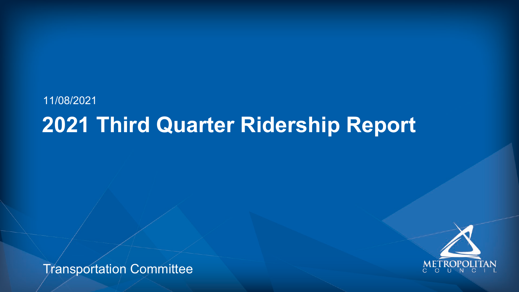Transportation Committee







## 11/08/2021 **2021 Third Quarter Ridership Report**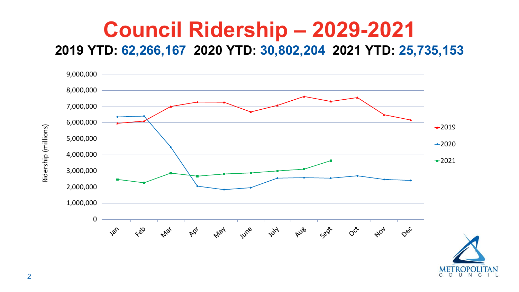2



C O U N C

### **Council Ridership – 2029-2021 2019 YTD: 62,266,167 2020 YTD: 30,802,204 2021 YTD: 25,735,153**

Ridership (millions) Ridership (millions)

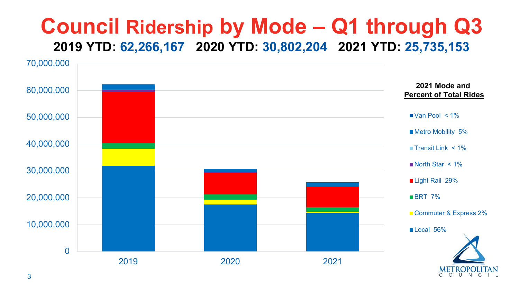### **Council Ridership by Mode – Q1 through Q3 2019 YTD: 62,266,167 2020 YTD: 30,802,204 2021 YTD: 25,735,153**



#### **2021 Mode and Percent of Total Rides**

- $\blacksquare$  Van Pool < 1%
- **Metro Mobility 5%**
- **Transit Link**  $\leq 1\%$
- $\blacksquare$  North Star < 1%
- Light Rail 29%
- **BRT** 7%
- Commuter & Express 2%
- Local 56%

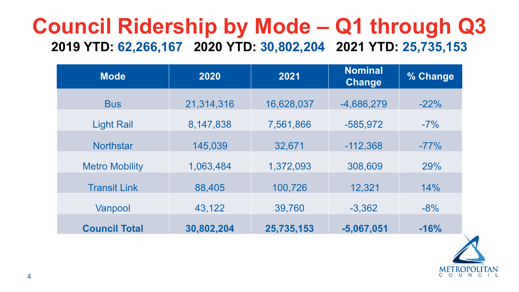

## **Council Ridership by Mode – Q1 through Q3 2019 YTD: 62,266,167 2020 YTD: 30,802,204 2021 YTD: 25,735,153**

| <b>Mode</b>           | 2020        | 2021       | <b>Nominal</b><br><b>Change</b> | % Change |
|-----------------------|-------------|------------|---------------------------------|----------|
| <b>Bus</b>            | 21,314,316  | 16,628,037 | $-4,686,279$                    | $-22%$   |
| <b>Light Rail</b>     | 8, 147, 838 | 7,561,866  | $-585,972$                      | $-7\%$   |
| <b>Northstar</b>      | 145,039     | 32,671     | $-112,368$                      | $-77%$   |
| <b>Metro Mobility</b> | 1,063,484   | 1,372,093  | 308,609                         | 29%      |
| <b>Fransit Link</b>   | 88,405      | 100,726    | 12,321                          | 14%      |
| Vanpool               | 43,122      | 39,760     | $-3,362$                        | $-8%$    |
| <b>Council Total</b>  | 30,802,204  | 25,735,153 | $-5,067,051$                    | $-16%$   |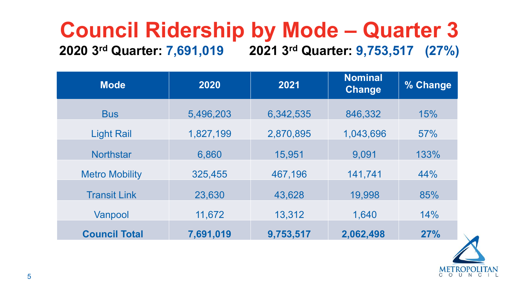

### **Council Ridership by Mode – Quarter 3 2020 3rd Quarter: 7,691,019 2021 3rd Quarter: 9,753,517 (27%)**

| <b>Mode</b>           | 2020      | 2021      | <b>Nominal</b><br><b>Change</b> | % Change |
|-----------------------|-----------|-----------|---------------------------------|----------|
| <b>Bus</b>            | 5,496,203 | 6,342,535 | 846,332                         | 15%      |
| <b>Light Rail</b>     | 1,827,199 | 2,870,895 | 1,043,696                       | 57%      |
| <b>Northstar</b>      | 6,860     | 15,951    | 9,091                           | 133%     |
| <b>Metro Mobility</b> | 325,455   | 467,196   | 141,741                         | 44%      |
| <b>Transit Link</b>   | 23,630    | 43,628    | 19,998                          | 85%      |
| Vanpool               | 11,672    | 13,312    | 1,640                           | 14%      |
| <b>Council Total</b>  | 7,691,019 | 9,753,517 | 2,062,498                       | 27%      |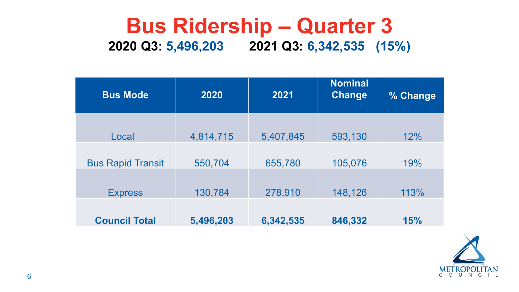### **Bus Ridership – Quarter 3 2020 Q3: 5,496,203 2021 Q3: 6,342,535 (15%)**

| <b>Bus Mode</b>          | 2020      | 2021    |
|--------------------------|-----------|---------|
| Local                    | 4,814,715 | 5,407,8 |
| <b>Bus Rapid Transit</b> | 550,704   | 655,78  |
| <b>Express</b>           | 130,784   | 278,91  |
| <b>Council Total</b>     | 5,496,203 | 6,342,5 |

| <b>Bus Mode</b>          | 2020      | 2021      | <b>Nominal</b><br>Change | % Change |
|--------------------------|-----------|-----------|--------------------------|----------|
| Local                    | 4,814,715 | 5,407,845 | 593,130                  | 12%      |
| <b>Bus Rapid Transit</b> | 550,704   | 655,780   | 105,076                  | 19%      |
| <b>Express</b>           | 130,784   | 278,910   | 148,126                  | 113%     |
| <b>Council Total</b>     | 5,496,203 | 6,342,535 | 846,332                  | 15%      |

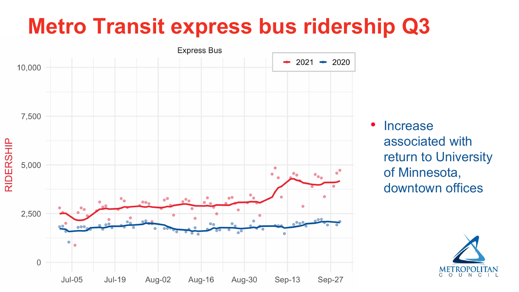# **Metro Transit express bus ridership Q3**

**Express Bus** 



**Increase** associated with return to University of Minnesota, downtown offices



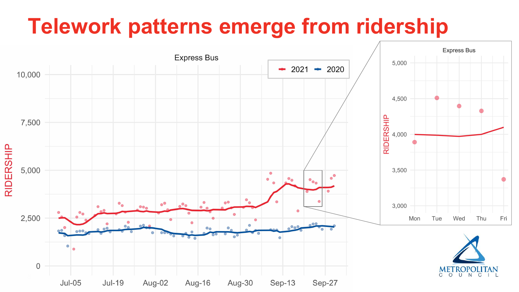# **Telework patterns emerge from ridership**

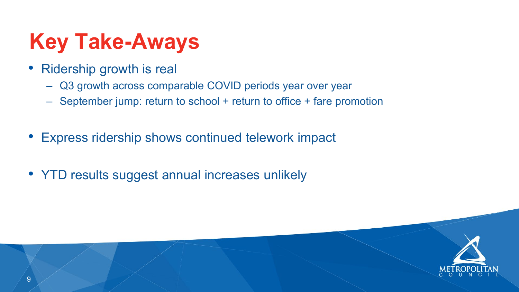- Ridership growth is real
	- Q3 growth across comparable COVID periods year over year
	- September jump: return to school + return to office + fare promotion
- Express ridership shows continued telework impact
- YTD results suggest annual increases unlikely



# **Key Take-Aways**